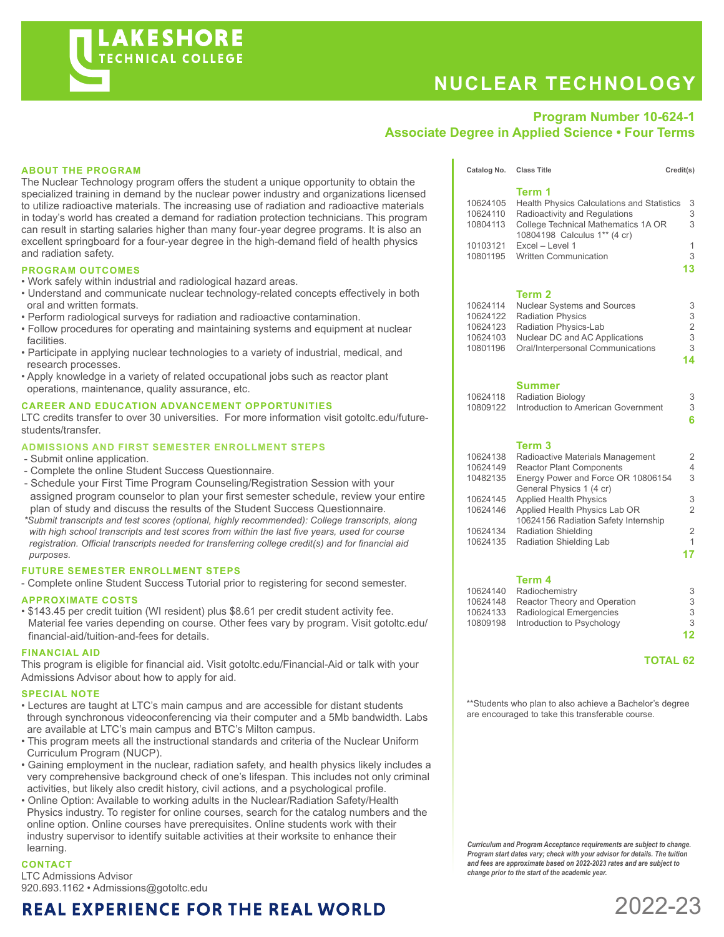# **NUCLEAR TECHNOLOGY**

Catalog No. Class Title Credit(s)

### **Program Number 10-624-1 Associate Degree in Applied Science • Four Terms**

#### **ABOUT THE PROGRAM**

The Nuclear Technology program offers the student a unique opportunity to obtain the specialized training in demand by the nuclear power industry and organizations licensed to utilize radioactive materials. The increasing use of radiation and radioactive materials in today's world has created a demand for radiation protection technicians. This program can result in starting salaries higher than many four-year degree programs. It is also an excellent springboard for a four-year degree in the high-demand field of health physics and radiation safety.

#### **PROGRAM OUTCOMES**

- Work safely within industrial and radiological hazard areas.
- Understand and communicate nuclear technology-related concepts effectively in both oral and written formats.
- Perform radiological surveys for radiation and radioactive contamination.
- Follow procedures for operating and maintaining systems and equipment at nuclear facilities.
- Participate in applying nuclear technologies to a variety of industrial, medical, and research processes.
- Apply knowledge in a variety of related occupational jobs such as reactor plant operations, maintenance, quality assurance, etc.

#### **CAREER AND EDUCATION ADVANCEMENT OPPORTUNITIES**

LTC credits transfer to over 30 universities. For more information visit gotoltc.edu/futurestudents/transfer.

#### **ADMISSIONS AND FIRST SEMESTER ENROLLMENT STEPS**

- Submit online application.
- Complete the online Student Success Questionnaire.
- Schedule your First Time Program Counseling/Registration Session with your assigned program counselor to plan your first semester schedule, review your entire plan of study and discuss the results of the Student Success Questionnaire.
- *\*Submit transcripts and test scores (optional, highly recommended): College transcripts, along with high school transcripts and test scores from within the last five years, used for course registration. Official transcripts needed for transferring college credit(s) and for financial aid purposes.*

#### **FUTURE SEMESTER ENROLLMENT STEPS**

- Complete online Student Success Tutorial prior to registering for second semester.

#### **APPROXIMATE COSTS**

• \$143.45 per credit tuition (WI resident) plus \$8.61 per credit student activity fee. Material fee varies depending on course. Other fees vary by program. Visit gotoltc.edu/ financial-aid/tuition-and-fees for details.

#### **FINANCIAL AID**

This program is eligible for financial aid. Visit gotoltc.edu/Financial-Aid or talk with your Admissions Advisor about how to apply for aid.

#### **SPECIAL NOTE**

- Lectures are taught at LTC's main campus and are accessible for distant students through synchronous videoconferencing via their computer and a 5Mb bandwidth. Labs are available at LTC's main campus and BTC's Milton campus.
- This program meets all the instructional standards and criteria of the Nuclear Uniform Curriculum Program (NUCP).
- Gaining employment in the nuclear, radiation safety, and health physics likely includes a very comprehensive background check of one's lifespan. This includes not only criminal activities, but likely also credit history, civil actions, and a psychological profile.
- Online Option: Available to working adults in the Nuclear/Radiation Safety/Health Physics industry. To register for online courses, search for the catalog numbers and the online option. Online courses have prerequisites. Online students work with their industry supervisor to identify suitable activities at their worksite to enhance their learning.

#### **CONTACT**

LTC Admissions Advisor 920.693.1162 • Admissions@gotoltc.edu

## **REAL EXPERIENCE FOR THE REAL WORLD**

| 10624105<br>10624110<br>10804113<br>10103121<br>10801195 | Term 1<br>Health Physics Calculations and Statistics<br>Radioactivity and Regulations<br>College Technical Mathematics 1A OR<br>10804198 Calculus 1** (4 cr)<br>Excel - Level 1<br><b>Written Communication</b> | 3<br>3<br>3<br>1<br>3<br>13 |
|----------------------------------------------------------|-----------------------------------------------------------------------------------------------------------------------------------------------------------------------------------------------------------------|-----------------------------|
| 10624114<br>10624122                                     | Term 2<br><b>Nuclear Systems and Sources</b><br><b>Radiation Physics</b>                                                                                                                                        | 3<br>3                      |
| 10624123<br>10624103<br>10801196                         | Radiation Physics-Lab<br>Nuclear DC and AC Applications<br>Oral/Interpersonal Communications                                                                                                                    | 2<br>3<br>3<br>14           |
| 10624118<br>10809122                                     | Summer<br><b>Radiation Biology</b><br>Introduction to American Government                                                                                                                                       | 3<br>3<br>6                 |

#### **Term 3**

| 10624138 | Radioactive Materials Management     | 2              |
|----------|--------------------------------------|----------------|
| 10624149 | <b>Reactor Plant Components</b>      | 4              |
| 10482135 | Energy Power and Force OR 10806154   | 3              |
|          | General Physics 1 (4 cr)             |                |
| 10624145 | <b>Applied Health Physics</b>        | 3              |
| 10624146 | Applied Health Physics Lab OR        | 2              |
|          | 10624156 Radiation Safety Internship |                |
| 10624134 | <b>Radiation Shielding</b>           | $\overline{2}$ |
| 10624135 | Radiation Shielding Lab              | 1              |
|          |                                      | 17             |
|          |                                      |                |

#### **Term 4**

|          | 10624140 Radiochemistry             | 3  |
|----------|-------------------------------------|----|
| 10624148 | Reactor Theory and Operation        | 3  |
| 10624133 | Radiological Emergencies            | 3  |
|          | 10809198 Introduction to Psychology | 3  |
|          |                                     | 12 |

#### **TOTAL 62**

\*\*Students who plan to also achieve a Bachelor's degree are encouraged to take this transferable course.

*Curriculum and Program Acceptance requirements are subject to change. Program start dates vary; check with your advisor for details. The tuition and fees are approximate based on 2022-2023 rates and are subject to change prior to the start of the academic year.*